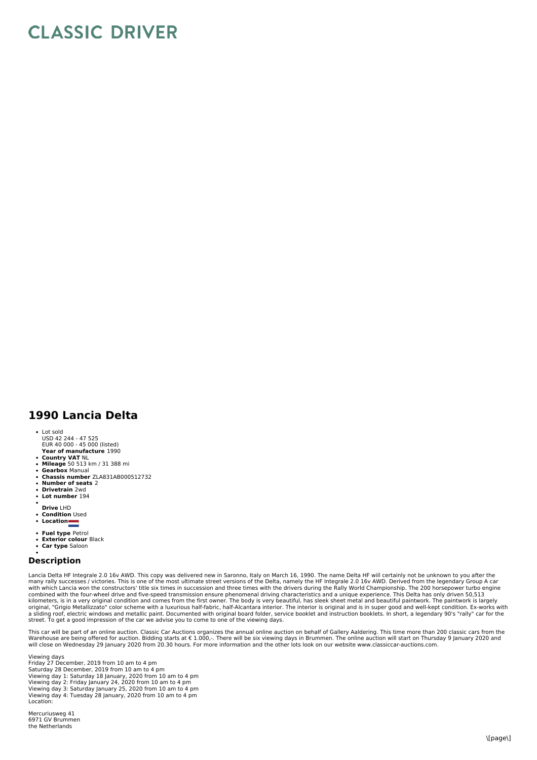## **CLASSIC DRIVER**

## **1990 Lancia Delta**

- Lot sold
- USD 42 244 47 525 EUR 40 000 45 000 (listed)
- **Year of manufacture** 1990
- **Country VAT** NL **Mileage** 50 513 km / 31 388 mi
- **Gearbox** Manual
- **Chassis number** ZLA831AB000512732
- **Number of seats** 2
- **Drivetrain** 2wd
- **Lot number** 194
- **Drive** LHD
- **Condition** Used
- Conunum<br>• Location
- 
- **Fuel type** Petrol **Exterior colour** Black
- **Car type** Saloon
- 

## **Description**

Lancia Delta HF Integrale 2.0 16v AWD. This copy was delivered new in Saronno, Italy on March 16, 1990. The name Delta HF will certainly not be unknown to you after the<br>many rally successes / victories. This is one of the combined with the four-wheel drive and five-speed transmission ensure phenomenal driving characteristics and a unique experience. This Delta has only driven 50,513<br>kilometers, is in a very original condition and comes from original, "Grigio Metallizzato" color scheme with a luxurious half-fabric, half-Alcantara interior. The interior is original and is in super good and well-kept condition. Ex-works with<br>a sliding roof, electric windows and

This car will be part of an online auction. Classic Car Auctions organizes the annual online auction on behalf of Gallery Aaldering. This time more than 200 classic cars from the<br>Warehouse are being offered for auction. B will close on Wednesday 29 January 2020 from 20.30 hours. For more information and the other lots look on our website www.classiccar-auctions.com.

Viewing days Friday 27 December, 2019 from 10 am to 4 pm Saturday 28 December, 2019 from 10 am to 4 pm Viewing day 1: Saturday 18 January, 2020 from 10 am to 4 pm<br>Viewing day 2: Friday January 24, 2020 from 10 am to 4 pm<br>Viewing day 3: Saturday January 25, 2020 from 10 am to 4 pm<br>Viewing day 4: Tuesday 28 January, 2020 from Location:

Mercuriusweg 41 6971 GV Brummen the Netherlands